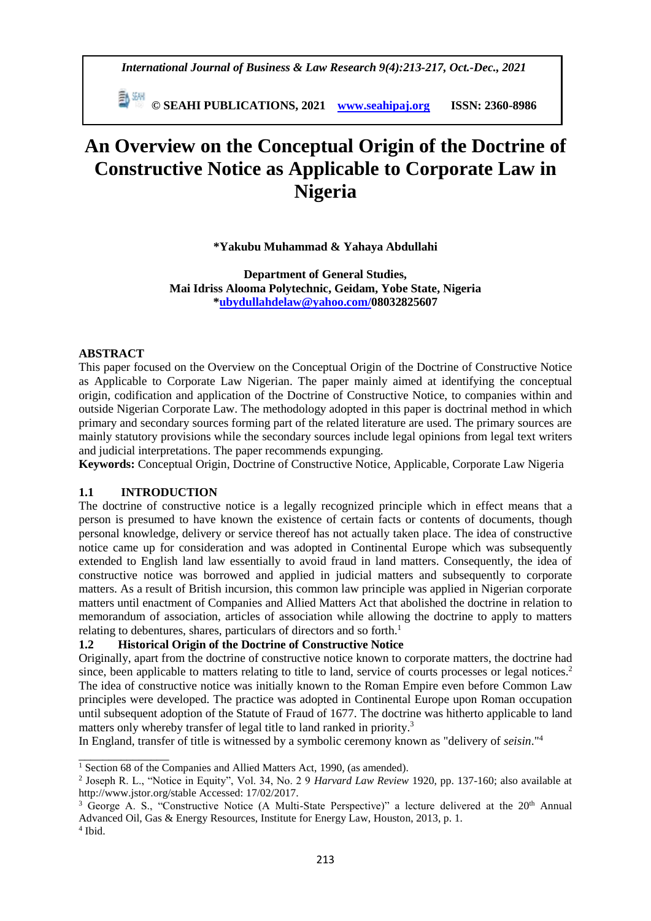*International Journal of Business & Law Research 9(4):213-217, Oct.-Dec., 2021*

 **© SEAHI PUBLICATIONS, 2021 [www.seahipaj.org](http://www.seahipaj.org/) ISSN: 2360-8986**

# **An Overview on the Conceptual Origin of the Doctrine of Constructive Notice as Applicable to Corporate Law in Nigeria**

**\*Yakubu Muhammad & Yahaya Abdullahi**

**Department of General Studies, Mai Idriss Alooma Polytechnic, Geidam, Yobe State, Nigeria [\\*ubydullahdelaw@yahoo.com/](mailto:ubydullahdelaw@yahoo.com)08032825607**

### **ABSTRACT**

This paper focused on the Overview on the Conceptual Origin of the Doctrine of Constructive Notice as Applicable to Corporate Law Nigerian. The paper mainly aimed at identifying the conceptual origin, codification and application of the Doctrine of Constructive Notice, to companies within and outside Nigerian Corporate Law. The methodology adopted in this paper is doctrinal method in which primary and secondary sources forming part of the related literature are used. The primary sources are mainly statutory provisions while the secondary sources include legal opinions from legal text writers and judicial interpretations. The paper recommends expunging.

**Keywords:** Conceptual Origin, Doctrine of Constructive Notice, Applicable, Corporate Law Nigeria

## **1.1 INTRODUCTION**

The doctrine of constructive notice is a legally recognized principle which in effect means that a person is presumed to have known the existence of certain facts or contents of documents, though personal knowledge, delivery or service thereof has not actually taken place. The idea of constructive notice came up for consideration and was adopted in Continental Europe which was subsequently extended to English land law essentially to avoid fraud in land matters. Consequently, the idea of constructive notice was borrowed and applied in judicial matters and subsequently to corporate matters. As a result of British incursion, this common law principle was applied in Nigerian corporate matters until enactment of Companies and Allied Matters Act that abolished the doctrine in relation to memorandum of association, articles of association while allowing the doctrine to apply to matters relating to debentures, shares, particulars of directors and so forth.<sup>1</sup>

## **1.2 Historical Origin of the Doctrine of Constructive Notice**

Originally, apart from the doctrine of constructive notice known to corporate matters, the doctrine had since, been applicable to matters relating to title to land, service of courts processes or legal notices.<sup>2</sup> The idea of constructive notice was initially known to the Roman Empire even before Common Law principles were developed. The practice was adopted in Continental Europe upon Roman occupation until subsequent adoption of the Statute of Fraud of 1677. The doctrine was hitherto applicable to land matters only whereby transfer of legal title to land ranked in priority.<sup>3</sup>

In England, transfer of title is witnessed by a symbolic ceremony known as "delivery of *seisin*."<sup>4</sup>

\_\_\_\_\_\_\_\_\_\_\_\_\_\_\_

<sup>&</sup>lt;sup>1</sup> Section 68 of the Companies and Allied Matters Act, 1990, (as amended).

<sup>2</sup> Joseph R. L., "Notice in Equity", Vol. 34, No. 2 9 *Harvard Law Review* 1920, pp. 137-160; also available at http://www.jstor.org/stable Accessed: 17/02/2017.

<sup>&</sup>lt;sup>3</sup> George A. S., "Constructive Notice (A Multi-State Perspective)" a lecture delivered at the 20<sup>th</sup> Annual Advanced Oil, Gas & Energy Resources, Institute for Energy Law, Houston, 2013, p. 1.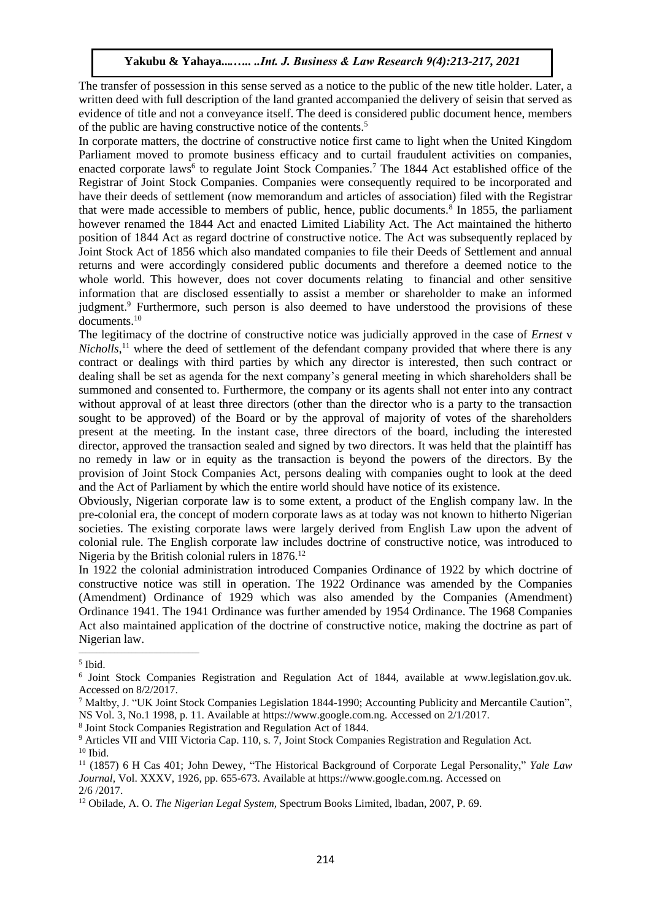The transfer of possession in this sense served as a notice to the public of the new title holder. Later, a written deed with full description of the land granted accompanied the delivery of seisin that served as evidence of title and not a conveyance itself. The deed is considered public document hence, members of the public are having constructive notice of the contents. 5

In corporate matters, the doctrine of constructive notice first came to light when the United Kingdom Parliament moved to promote business efficacy and to curtail fraudulent activities on companies, enacted corporate laws<sup>6</sup> to regulate Joint Stock Companies.<sup>7</sup> The 1844 Act established office of the Registrar of Joint Stock Companies. Companies were consequently required to be incorporated and have their deeds of settlement (now memorandum and articles of association) filed with the Registrar that were made accessible to members of public, hence, public documents.<sup>8</sup> In 1855, the parliament however renamed the 1844 Act and enacted Limited Liability Act. The Act maintained the hitherto position of 1844 Act as regard doctrine of constructive notice. The Act was subsequently replaced by Joint Stock Act of 1856 which also mandated companies to file their Deeds of Settlement and annual returns and were accordingly considered public documents and therefore a deemed notice to the whole world. This however, does not cover documents relating to financial and other sensitive information that are disclosed essentially to assist a member or shareholder to make an informed judgment.<sup>9</sup> Furthermore, such person is also deemed to have understood the provisions of these documents.<sup>10</sup>

The legitimacy of the doctrine of constructive notice was judicially approved in the case of *Ernest* v *Nicholls*, <sup>11</sup> where the deed of settlement of the defendant company provided that where there is any contract or dealings with third parties by which any director is interested, then such contract or dealing shall be set as agenda for the next company's general meeting in which shareholders shall be summoned and consented to. Furthermore, the company or its agents shall not enter into any contract without approval of at least three directors (other than the director who is a party to the transaction sought to be approved) of the Board or by the approval of majority of votes of the shareholders present at the meeting. In the instant case, three directors of the board, including the interested director, approved the transaction sealed and signed by two directors. It was held that the plaintiff has no remedy in law or in equity as the transaction is beyond the powers of the directors. By the provision of Joint Stock Companies Act, persons dealing with companies ought to look at the deed and the Act of Parliament by which the entire world should have notice of its existence.

Obviously, Nigerian corporate law is to some extent, a product of the English company law. In the pre-colonial era, the concept of modern corporate laws as at today was not known to hitherto Nigerian societies. The existing corporate laws were largely derived from English Law upon the advent of colonial rule. The English corporate law includes doctrine of constructive notice, was introduced to Nigeria by the British colonial rulers in 1876.<sup>12</sup>

In 1922 the colonial administration introduced Companies Ordinance of 1922 by which doctrine of constructive notice was still in operation. The 1922 Ordinance was amended by the Companies (Amendment) Ordinance of 1929 which was also amended by the Companies (Amendment) Ordinance 1941. The 1941 Ordinance was further amended by 1954 Ordinance. The 1968 Companies Act also maintained application of the doctrine of constructive notice, making the doctrine as part of Nigerian law.

 $\overline{\phantom{a}}$  , and the set of the set of the set of the set of the set of the set of the set of the set of the set of the set of the set of the set of the set of the set of the set of the set of the set of the set of the s

8 Joint Stock Companies Registration and Regulation Act of 1844.

<sup>5</sup> Ibid.

<sup>6</sup> Joint Stock Companies Registration and Regulation Act of 1844, available at www.legislation.gov.uk. Accessed on 8/2/2017.

<sup>7</sup> Maltby, J. "UK Joint Stock Companies Legislation 1844-1990; Accounting Publicity and Mercantile Caution", NS Vol. 3, No.1 1998, p. 11. Available at https://www.google.com.ng. Accessed on 2/1/2017.

<sup>&</sup>lt;sup>9</sup> Articles VII and VIII Victoria Cap. 110, s. 7, Joint Stock Companies Registration and Regulation Act.  $10$  Ibid.

<sup>11</sup> (1857) 6 H Cas 401; John Dewey, "The Historical Background of Corporate Legal Personality," *Yale Law Journal,* Vol. XXXV, 1926, pp. 655-673. Available at https://www.google.com.ng. Accessed on 2/6 /2017.

<sup>12</sup> Obilade, A. O. *The Nigerian Legal System,* Spectrum Books Limited, lbadan, 2007, P. 69.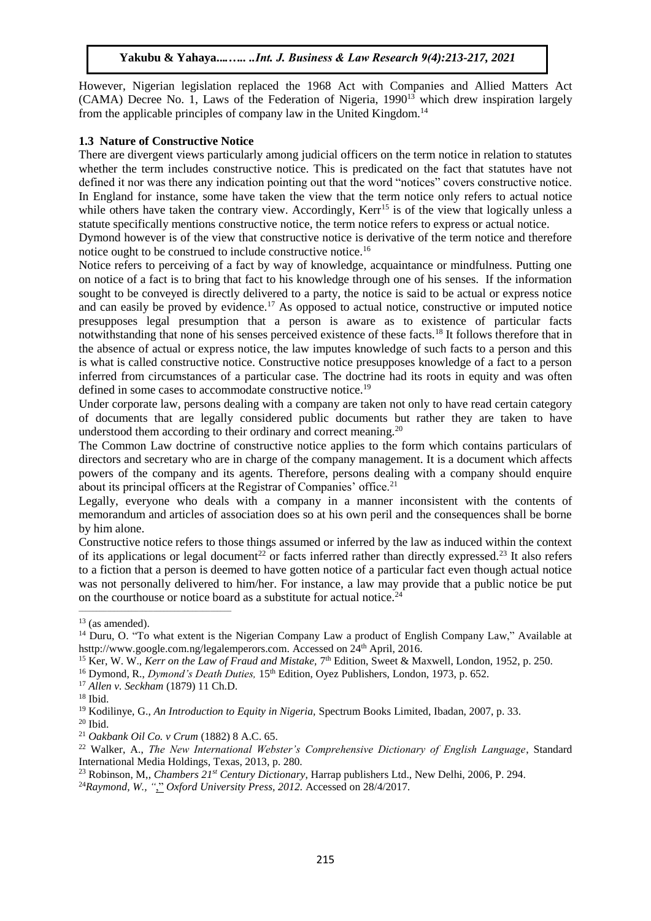However, Nigerian legislation replaced the 1968 Act with Companies and Allied Matters Act (CAMA) Decree No. 1, Laws of the Federation of Nigeria,  $1990^{13}$  which drew inspiration largely from the applicable principles of company law in the United Kingdom.<sup>14</sup>

#### **1.3 Nature of Constructive Notice**

There are divergent views particularly among judicial officers on the term notice in relation to statutes whether the term includes constructive notice. This is predicated on the fact that statutes have not defined it nor was there any indication pointing out that the word "notices" covers constructive notice. In England for instance, some have taken the view that the term notice only refers to actual notice while others have taken the contrary view. Accordingly, Kerr<sup>15</sup> is of the view that logically unless a statute specifically mentions constructive notice, the term notice refers to express or actual notice.

Dymond however is of the view that constructive notice is derivative of the term notice and therefore notice ought to be construed to include constructive notice.<sup>16</sup>

Notice refers to perceiving of a fact by way of knowledge, acquaintance or mindfulness. Putting one on notice of a fact is to bring that fact to his knowledge through one of his senses. If the information sought to be conveyed is directly delivered to a party, the notice is said to be actual or express notice and can easily be proved by evidence.<sup>17</sup> As opposed to actual notice, constructive or imputed notice presupposes legal presumption that a person is aware as to existence of particular facts notwithstanding that none of his senses perceived existence of these facts.<sup>18</sup> It follows therefore that in the absence of actual or express notice, the law imputes knowledge of such facts to a person and this is what is called constructive notice. Constructive notice presupposes knowledge of a fact to a person inferred from circumstances of a particular case. The doctrine had its roots in equity and was often defined in some cases to accommodate constructive notice.<sup>19</sup>

Under corporate law, persons dealing with a company are taken not only to have read certain category of documents that are legally considered public documents but rather they are taken to have understood them according to their ordinary and correct meaning.<sup>20</sup>

The Common Law doctrine of constructive notice applies to the form which contains particulars of directors and secretary who are in charge of the company management. It is a document which affects powers of the company and its agents. Therefore, persons dealing with a company should enquire about its principal officers at the Registrar of Companies' office.<sup>21</sup>

Legally, everyone who deals with a company in a manner inconsistent with the contents of memorandum and articles of association does so at his own peril and the consequences shall be borne by him alone.

Constructive notice refers to those things assumed or inferred by the law as induced within the context of its applications or legal document<sup>22</sup> or facts inferred rather than directly expressed.<sup>23</sup> It also refers to a fiction that a person is deemed to have gotten notice of a particular fact even though actual notice was not personally delivered to him/her. For instance, a law may provide that a public notice be put on the courthouse or notice board as a substitute for actual notice.<sup>24</sup>

\_\_\_\_\_\_\_\_\_\_\_\_\_\_\_\_\_\_\_\_\_\_\_\_\_\_\_\_\_\_\_\_\_\_\_\_\_\_\_\_\_\_\_

 $13$  (as amended).

<sup>&</sup>lt;sup>14</sup> Duru, O. "To what extent is the Nigerian [Company](http://www.legalemperors.com/2016/01/to-what-extent-is-nigerian-company-law.html) Law a product of English Company Law," Available at hsttp://www.google.com.ng/legalemperors.com. Accessed on 24<sup>th</sup> April, 2016.

<sup>&</sup>lt;sup>15</sup> Ker, W. W., *Kerr on the Law of Fraud and Mistake*, 7<sup>th</sup> Edition, Sweet & Maxwell, London, 1952, p. 250.

<sup>&</sup>lt;sup>16</sup> Dymond, R., *Dymond's Death Duties*, 15<sup>th</sup> Edition, Oyez Publishers, London, 1973, p. 652.

<sup>17</sup> *Allen v. Seckham* (1879) 11 Ch.D.

 $^{18}$  Ibid.

<sup>19</sup> Kodilinye, G., *An Introduction to Equity in Nigeria,* Spectrum Books Limited, Ibadan, 2007, p. 33.

 $20$  Ibid.

<sup>21</sup> *Oakbank Oil Co. v Crum* (1882) 8 A.C. 65.

<sup>22</sup> Walker, A., *The New International Webster's Comprehensive Dictionary of English Language*, Standard International Media Holdings, Texas, 2013, p. 280.

<sup>23</sup> Robinson, M,, *Chambers 21st Century Dictionary*, Harrap publishers Ltd., New Delhi, 2006, P. 294.

<sup>24</sup>*Raymond, W., "*," *Oxford University Press, 2012.* Accessed on 28/4/2017*.*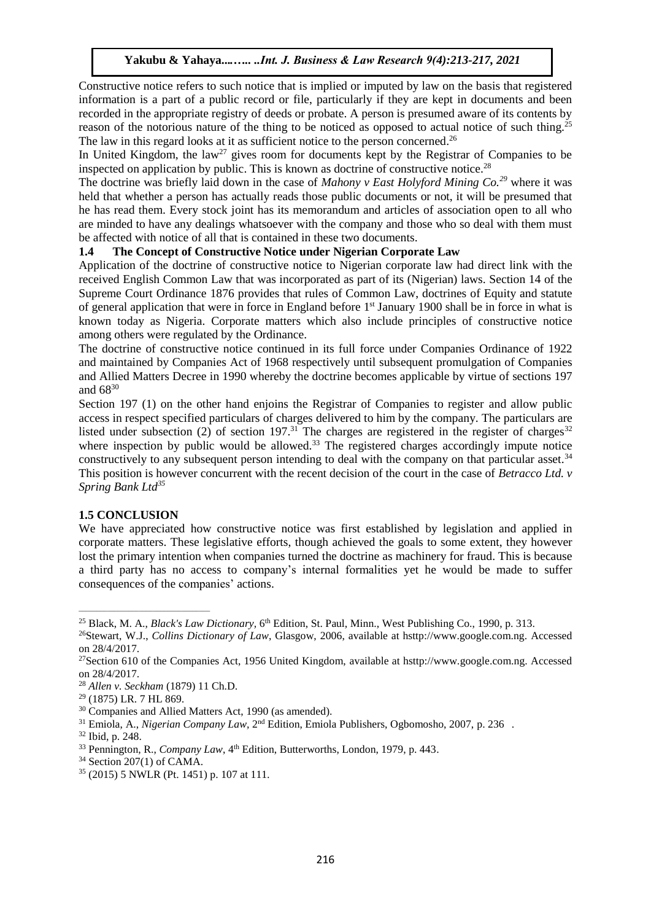Constructive notice refers to such notice that is implied or imputed by law on the basis that registered information is a part of a public record or file, particularly if they are kept in documents and been recorded in the appropriate registry of deeds or probate. A person is presumed aware of its contents by reason of the notorious nature of the thing to be noticed as opposed to actual notice of such thing.<sup>25</sup> The law in this regard looks at it as sufficient notice to the person concerned.<sup>26</sup>

In United Kingdom, the law<sup>27</sup> gives room for documents kept by the Registrar of Companies to be inspected on application by public. This is known as doctrine of constructive notice.<sup>28</sup>

The doctrine was briefly laid down in the case of *Mahony v East Holyford Mining Co.<sup>29</sup>* where it was held that whether a person has actually reads those public documents or not, it will be presumed that he has read them. Every stock joint has its memorandum and articles of association open to all who are minded to have any dealings whatsoever with the company and those who so deal with them must be affected with notice of all that is contained in these two documents.

### **1.4 The Concept of Constructive Notice under Nigerian Corporate Law**

Application of the doctrine of constructive notice to Nigerian corporate law had direct link with the received English Common Law that was incorporated as part of its (Nigerian) laws. Section 14 of the Supreme Court Ordinance 1876 provides that rules of Common Law, doctrines of Equity and statute of general application that were in force in England before 1<sup>st</sup> January 1900 shall be in force in what is known today as Nigeria. Corporate matters which also include principles of constructive notice among others were regulated by the Ordinance.

The doctrine of constructive notice continued in its full force under Companies Ordinance of 1922 and maintained by Companies Act of 1968 respectively until subsequent promulgation of Companies and Allied Matters Decree in 1990 whereby the doctrine becomes applicable by virtue of sections 197 and 68<sup>30</sup>

Section 197 (1) on the other hand enjoins the Registrar of Companies to register and allow public access in respect specified particulars of charges delivered to him by the company. The particulars are listed under subsection  $(2)$  of section 197.<sup>31</sup> The charges are registered in the register of charges<sup>32</sup> where inspection by public would be allowed.<sup>33</sup> The registered charges accordingly impute notice constructively to any subsequent person intending to deal with the company on that particular asset.<sup>34</sup> This position is however concurrent with the recent decision of the court in the case of *Betracco Ltd. v Spring Bank Ltd<sup>35</sup>*

#### **1.5 CONCLUSION**

We have appreciated how constructive notice was first established by legislation and applied in corporate matters. These legislative efforts, though achieved the goals to some extent, they however lost the primary intention when companies turned the doctrine as machinery for fraud. This is because a third party has no access to company's internal formalities yet he would be made to suffer consequences of the companies' actions.

\_\_\_\_\_\_\_\_\_\_\_\_\_\_\_\_\_\_\_\_\_\_\_\_\_\_\_\_\_\_\_\_\_\_\_\_\_

<sup>&</sup>lt;sup>25</sup> Black, M. A., *Black's Law Dictionary*, 6<sup>th</sup> Edition, St. Paul, Minn., West Publishing Co., 1990, p. 313.

<sup>26</sup>Stewart, W.J., *Collins Dictionary of Law*, Glasgow, 2006, available at hsttp://www.google.com.ng. Accessed on 28/4/2017.

<sup>27</sup>Section 610 of the Companies Act, 1956 United Kingdom, available at hsttp://www.google.com.ng. Accessed on 28/4/2017.

<sup>28</sup> *Allen v. Seckham* (1879) 11 Ch.D.

<sup>29</sup> (1875) LR. 7 HL 869*.*

<sup>30</sup> Companies and Allied Matters Act, 1990 (as amended).

<sup>&</sup>lt;sup>31</sup> Emiola, A., *Nigerian Company Law*, 2<sup>nd</sup> Edition, Emiola Publishers, Ogbomosho, 2007, p. 236.

<sup>32</sup> Ibid, p. 248.

<sup>&</sup>lt;sup>33</sup> Pennington, R., *Company Law*, 4<sup>th</sup> Edition, Butterworths, London, 1979, p. 443.

 $34$  Section 207(1) of CAMA.

<sup>35</sup> (2015) 5 NWLR (Pt. 1451) p. 107 at 111*.*